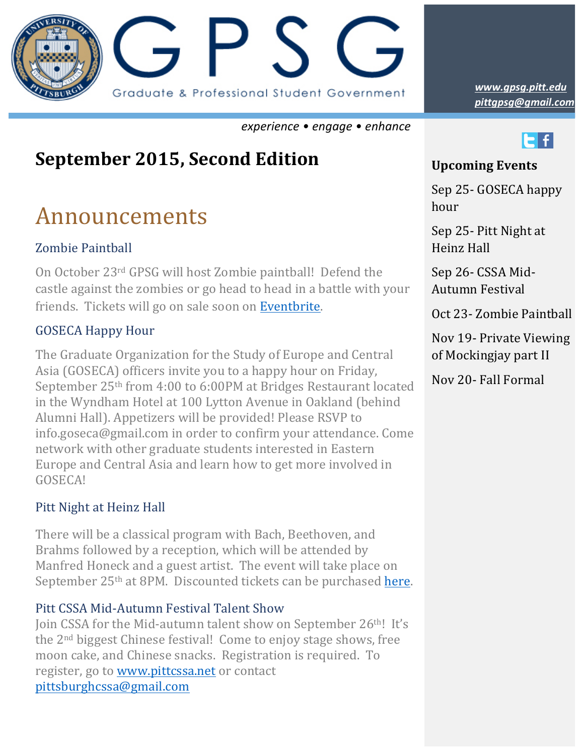

*experience • engage • enhance*

## **September 2015, Second Edition**

# Announcements

### Zombie Paintball

On October 23<sup>rd</sup> GPSG will host Zombie paintball! Defend the castle against the zombies or go head to head in a battle with your friends. Tickets will go on sale soon on Eventbrite.

### GOSECA Happy Hour

The Graduate Organization for the Study of Europe and Central Asia (GOSECA) officers invite you to a happy hour on Friday, September 25<sup>th</sup> from 4:00 to 6:00PM at Bridges Restaurant located in the Wyndham Hotel at 100 Lytton Avenue in Oakland (behind Alumni Hall). Appetizers will be provided! Please RSVP to info.goseca@gmail.com in order to confirm your attendance. Come network with other graduate students interested in Eastern Europe and Central Asia and learn how to get more involved in GOSECA!

### Pitt Night at Heinz Hall

There will be a classical program with Bach, Beethoven, and Brahms followed by a reception, which will be attended by Manfred Honeck and a guest artist. The event will take place on September  $25<sup>th</sup>$  at 8PM. Discounted tickets can be purchased here.

### Pitt CSSA Mid-Autumn Festival Talent Show

Join CSSA for the Mid-autumn talent show on September 26<sup>th</sup>! It's the 2<sup>nd</sup> biggest Chinese festival! Come to enjoy stage shows, free moon cake, and Chinese snacks. Registration is required. To register, go to www.pittcssa.net or contact pittsburghcssa@gmail.com

*pittgpsg@gmail.com www.gpsg.pitt.edu*

### <u>a seria de la c</u> **Upcoming Events**

Sep 25- GOSECA happy hour

Sep 25- Pitt Night at Heinz Hall 

Sep 26- CSSA Mid-Autumn Festival

Oct 23- Zombie Paintball

Nov 19- Private Viewing of Mockingjay part II

Nov 20- Fall Formal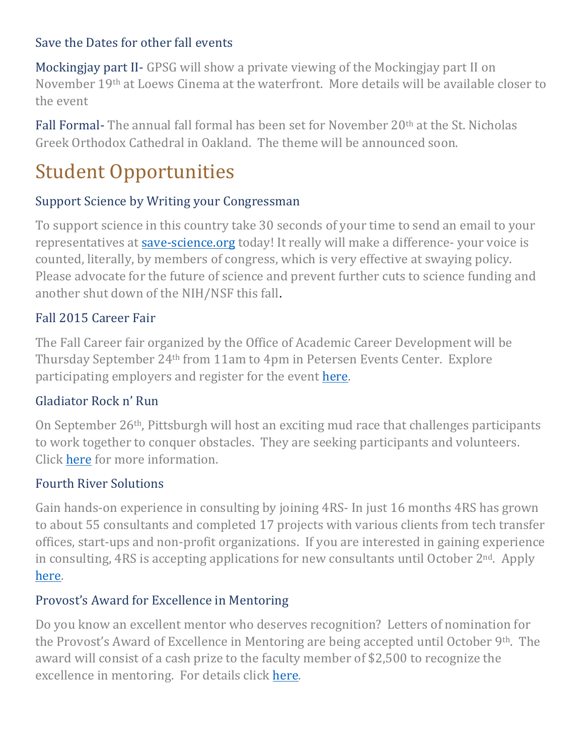### Save the Dates for other fall events

Mockingjay part II- GPSG will show a private viewing of the Mockingjay part II on November 19<sup>th</sup> at Loews Cinema at the waterfront. More details will be available closer to the event

Fall Formal- The annual fall formal has been set for November 20<sup>th</sup> at the St. Nicholas Greek Orthodox Cathedral in Oakland. The theme will be announced soon.

# **Student Opportunities**

### Support Science by Writing your Congressman

To support science in this country take 30 seconds of your time to send an email to your representatives at save-science.org today! It really will make a difference- your voice is counted, literally, by members of congress, which is very effective at swaying policy. Please advocate for the future of science and prevent further cuts to science funding and another shut down of the NIH/NSF this fall.

### Fall 2015 Career Fair

The Fall Career fair organized by the Office of Academic Career Development will be Thursday September 24<sup>th</sup> from 11am to 4pm in Petersen Events Center. Explore participating employers and register for the event here.

### Gladiator Rock n' Run

On September  $26<sup>th</sup>$ , Pittsburgh will host an exciting mud race that challenges participants to work together to conquer obstacles. They are seeking participants and volunteers. Click here for more information.

### Fourth River Solutions

Gain hands-on experience in consulting by joining 4RS- In just 16 months 4RS has grown to about 55 consultants and completed 17 projects with various clients from tech transfer offices, start-ups and non-profit organizations. If you are interested in gaining experience in consulting,  $4RS$  is accepting applications for new consultants until October  $2<sup>nd</sup>$ . Apply [here.](http://www.jotform.us/form/42448766141155)

### Provost's Award for Excellence in Mentoring

Do you know an excellent mentor who deserves recognition? Letters of nomination for the Provost's Award of Excellence in Mentoring are being accepted until October  $9<sup>th</sup>$ . The award will consist of a cash prize to the faculty member of \$2,500 to recognize the excellence in mentoring. For details click here.